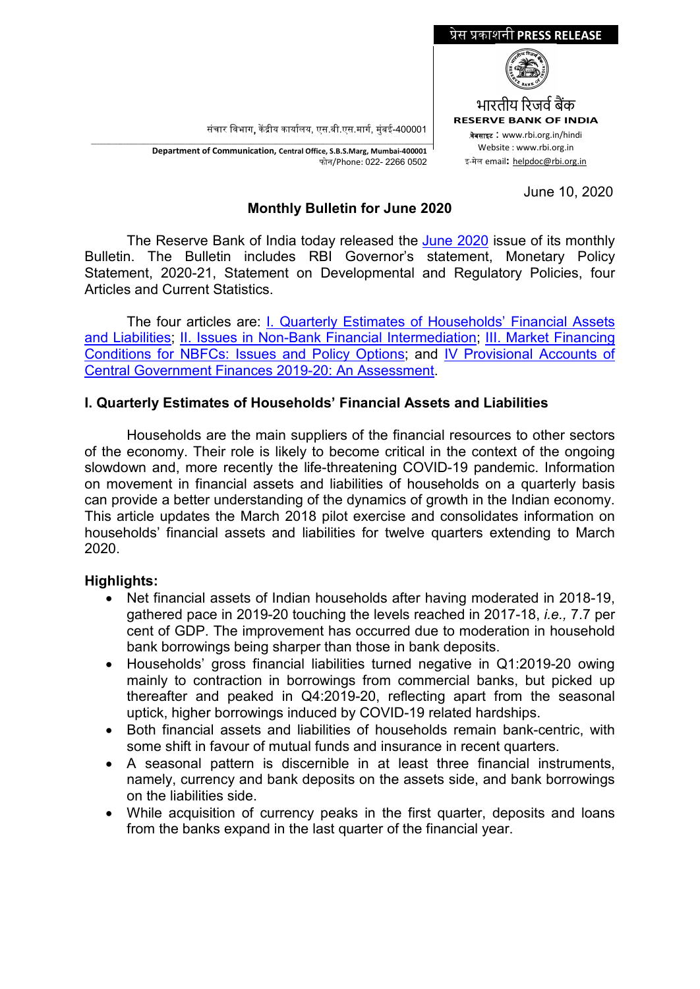संचार विभाग, केंद्रीय कार्यालय, एस.बी.एस.मार्ग, मुंबई-400001



\_\_\_\_\_\_\_\_\_\_\_\_\_\_\_\_\_\_\_\_\_\_\_\_\_\_\_\_\_\_\_\_\_\_\_\_\_\_\_\_\_\_\_\_\_\_\_\_\_\_\_\_\_\_\_\_\_\_\_\_\_\_\_\_\_\_\_\_\_\_\_\_\_\_\_\_\_\_\_\_\_\_\_\_\_\_\_\_\_\_\_\_\_\_\_\_\_\_\_\_\_\_\_\_\_\_\_\_\_\_\_\_\_\_\_\_\_ **Department of Communication, Central Office, S.B.S.Marg, Mumbai-400001** फोन/Phone: 022- 2266 0502

June 10, 2020

## **Monthly Bulletin for June 2020**

The Reserve Bank of India today released the [June 2020](https://www.rbi.org.in/Scripts/BS_ViewBulletin.aspx?yr=2020&mon=6) issue of its monthly Bulletin. The Bulletin includes RBI Governor's statement, Monetary Policy Statement, 2020-21, Statement on Developmental and Regulatory Policies, four Articles and Current Statistics.

The four articles are: [I. Quarterly Estimates of Households' Financial Assets](https://www.rbi.org.in/Scripts/BS_ViewBulletin.aspx?Id=18994)  [and Liabilities;](https://www.rbi.org.in/Scripts/BS_ViewBulletin.aspx?Id=18994) [II. Issues in Non-Bank Financial Intermediation;](https://www.rbi.org.in/Scripts/BS_ViewBulletin.aspx?Id=18995) III. [Market Financing](https://www.rbi.org.in/Scripts/BS_ViewBulletin.aspx?Id=18996)  [Conditions for NBFCs: Issues and Policy Options;](https://www.rbi.org.in/Scripts/BS_ViewBulletin.aspx?Id=18996) and [IV Provisional Accounts of](https://www.rbi.org.in/Scripts/BS_ViewBulletin.aspx?Id=18997)  [Central Government Finances 2019-20: An Assessment.](https://www.rbi.org.in/Scripts/BS_ViewBulletin.aspx?Id=18997)

# **I. Quarterly Estimates of Households' Financial Assets and Liabilities**

Households are the main suppliers of the financial resources to other sectors of the economy. Their role is likely to become critical in the context of the ongoing slowdown and, more recently the life-threatening COVID-19 pandemic. Information on movement in financial assets and liabilities of households on a quarterly basis can provide a better understanding of the dynamics of growth in the Indian economy. This article updates the March 2018 pilot exercise and consolidates information on households' financial assets and liabilities for twelve quarters extending to March 2020.

## **Highlights:**

- Net financial assets of Indian households after having moderated in 2018-19, gathered pace in 2019-20 touching the levels reached in 2017-18, *i.e.,* 7.7 per cent of GDP. The improvement has occurred due to moderation in household bank borrowings being sharper than those in bank deposits.
- Households' gross financial liabilities turned negative in Q1:2019-20 owing mainly to contraction in borrowings from commercial banks, but picked up thereafter and peaked in Q4:2019-20, reflecting apart from the seasonal uptick, higher borrowings induced by COVID-19 related hardships.
- Both financial assets and liabilities of households remain bank-centric, with some shift in favour of mutual funds and insurance in recent quarters.
- A seasonal pattern is discernible in at least three financial instruments, namely, currency and bank deposits on the assets side, and bank borrowings on the liabilities side.
- While acquisition of currency peaks in the first quarter, deposits and loans from the banks expand in the last quarter of the financial year.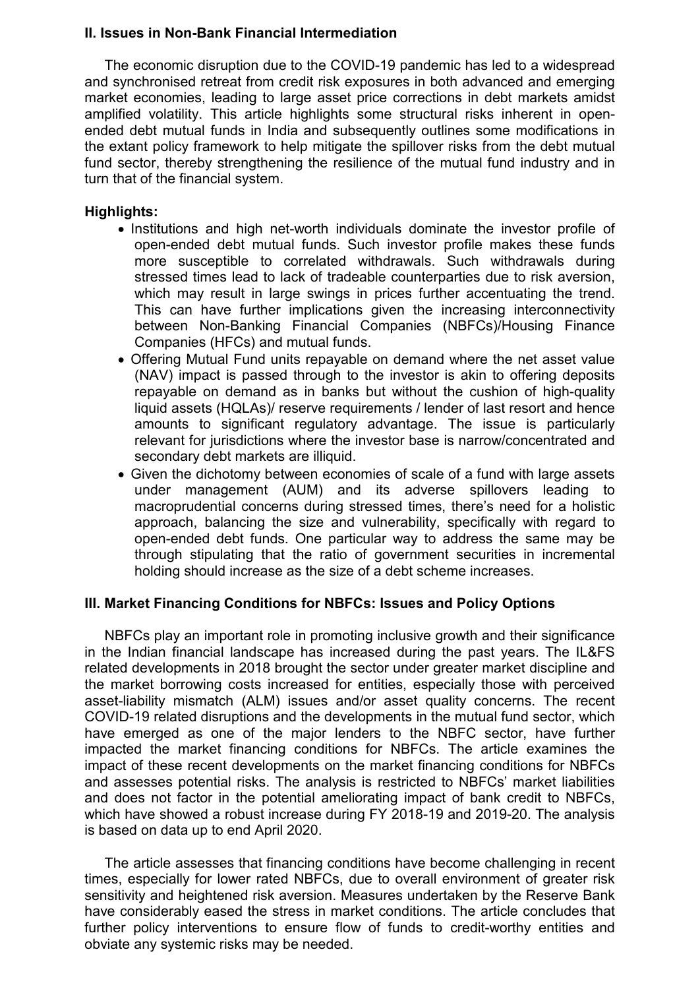#### **II. Issues in Non-Bank Financial Intermediation**

The economic disruption due to the COVID-19 pandemic has led to a widespread and synchronised retreat from credit risk exposures in both advanced and emerging market economies, leading to large asset price corrections in debt markets amidst amplified volatility. This article highlights some structural risks inherent in openended debt mutual funds in India and subsequently outlines some modifications in the extant policy framework to help mitigate the spillover risks from the debt mutual fund sector, thereby strengthening the resilience of the mutual fund industry and in turn that of the financial system.

#### **Highlights:**

- Institutions and high net-worth individuals dominate the investor profile of open-ended debt mutual funds. Such investor profile makes these funds more susceptible to correlated withdrawals. Such withdrawals during stressed times lead to lack of tradeable counterparties due to risk aversion, which may result in large swings in prices further accentuating the trend. This can have further implications given the increasing interconnectivity between Non-Banking Financial Companies (NBFCs)/Housing Finance Companies (HFCs) and mutual funds.
- Offering Mutual Fund units repayable on demand where the net asset value (NAV) impact is passed through to the investor is akin to offering deposits repayable on demand as in banks but without the cushion of high-quality liquid assets (HQLAs)/ reserve requirements / lender of last resort and hence amounts to significant regulatory advantage. The issue is particularly relevant for jurisdictions where the investor base is narrow/concentrated and secondary debt markets are illiquid.
- Given the dichotomy between economies of scale of a fund with large assets under management (AUM) and its adverse spillovers leading to macroprudential concerns during stressed times, there's need for a holistic approach, balancing the size and vulnerability, specifically with regard to open-ended debt funds. One particular way to address the same may be through stipulating that the ratio of government securities in incremental holding should increase as the size of a debt scheme increases.

#### **III. Market Financing Conditions for NBFCs: Issues and Policy Options**

NBFCs play an important role in promoting inclusive growth and their significance in the Indian financial landscape has increased during the past years. The IL&FS related developments in 2018 brought the sector under greater market discipline and the market borrowing costs increased for entities, especially those with perceived asset-liability mismatch (ALM) issues and/or asset quality concerns. The recent COVID-19 related disruptions and the developments in the mutual fund sector, which have emerged as one of the major lenders to the NBFC sector, have further impacted the market financing conditions for NBFCs. The article examines the impact of these recent developments on the market financing conditions for NBFCs and assesses potential risks. The analysis is restricted to NBFCs' market liabilities and does not factor in the potential ameliorating impact of bank credit to NBFCs, which have showed a robust increase during FY 2018-19 and 2019-20. The analysis is based on data up to end April 2020.

The article assesses that financing conditions have become challenging in recent times, especially for lower rated NBFCs, due to overall environment of greater risk sensitivity and heightened risk aversion. Measures undertaken by the Reserve Bank have considerably eased the stress in market conditions. The article concludes that further policy interventions to ensure flow of funds to credit-worthy entities and obviate any systemic risks may be needed.